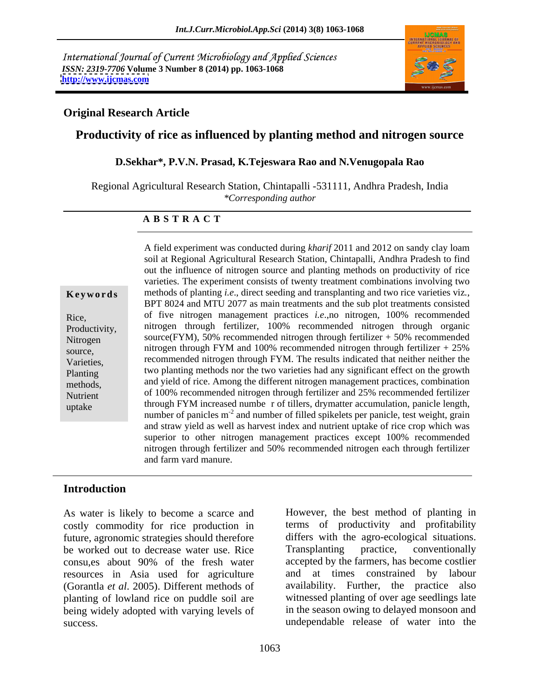International Journal of Current Microbiology and Applied Sciences *ISSN: 2319-7706* **Volume 3 Number 8 (2014) pp. 1063-1068 <http://www.ijcmas.com>**



## **Original Research Article**

## **Productivity of rice as influenced by planting method and nitrogen source**

### **D.Sekhar\*, P.V.N. Prasad, K.Tejeswara Rao and N.Venugopala Rao**

Regional Agricultural Research Station, Chintapalli -531111, Andhra Pradesh, India *\*Corresponding author*

### **A B S T R A C T**

Rice*,* Productivity*,* source*,* 

**Keywords** methods of planting *i.e.*, direct seeding and transplanting and two rice varieties viz., Nitrogen source(FYM), 50% recommended nitrogen through fertilizer + 50% recommended Varieties, recommended nitrogen through FYM. The results indicated that neither neither the Planting two planting methods nor the two varieties had any significant effect on the growth methods, and yield of rice. Among the different nitrogen management practices, combination Nutrient of 100% recommended nitrogen through fertilizer and 25% recommended fertilizer uptake through FYM increased numbe r of tillers, drymatter accumulation, panicle length, soil at Regional Agricultural Research Station, Chintapalli, Andhra Pradesh to find out the influence of nitrogen source and planting methods on productivity of rice varieties. The experiment consists of twenty treatment combinations involving two BPT 8024 and MTU 2077 as main treatments and the sub plot treatments consisted of five nitrogen management practices *i.e*.,no nitrogen, 100% recommended nitrogen through fertilizer, 100% recommended nitrogen through organic nitrogen through FYM and 100% recommended nitrogen through fertilizer  $+25%$ number of panicles m<sup>-2</sup> and number of filled spikelets per panicle, test weight, grain and straw yield as well as harvest index and nutrient uptake of rice crop which was superior to other nitrogen management practices except 100% recommended nitrogen through fertilizer and 50% recommended nitrogen each through fertilizer and farm yard manure.

A field experiment was conducted during *kharif* 2011 and 2012 on sandy clay loam

## **Introduction**

As water is likely to become a scarce and costly commodity for rice production in future, agronomic strategies should therefore differs with the agro-ecol<br>be worked out to decrease water use. Rice Transplanting practice, be worked out to decrease water use. Rice Transplanting practice, conventionally consu,es about 90% of the fresh water resources in Asia used for agriculture (Gorantla *et al*. 2005). Different methods of planting of lowland rice on puddle soil are being widely adopted with varying levels of success. undependable release of water into the

However, the best method of planting in terms of productivity and profitability differs with the agro-ecological situations. Transplanting practice, conventionally accepted by the farmers, has become costlier and at times constrained by labour availability. Further, the practice also witnessed planting of over age seedlings late in the season owing to delayed monsoon and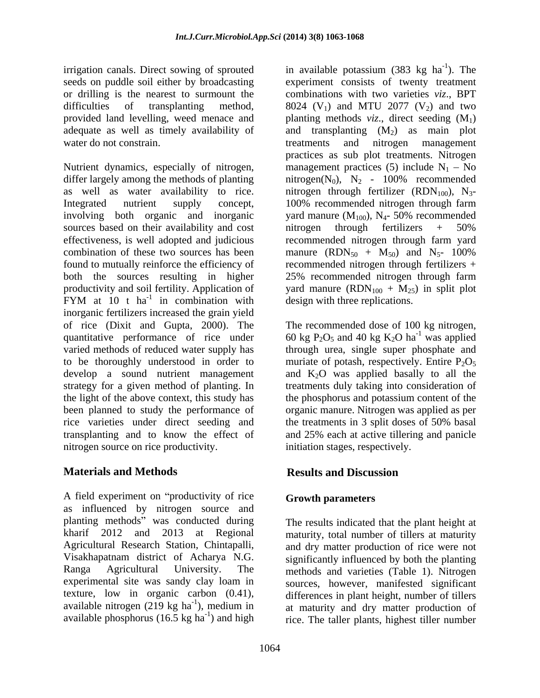seeds on puddle soil either by broadcasting

Nutrient dynamics, especially of nitrogen, management practices (5) include  $N_1 - No$ differ largely among the methods of planting  $\qquad \text{nitrogen}(N_0)$ ,  $N_2 - 100\%$  recommended as well as water availability to rice. Initrogen through fertilizer  $(RDN_{100})$ ,  $N_3$ -Integrated nutrient supply concept, 100% recommended nitrogen through farm involving both organic and inorganic vard manure  $(M_{100})$ ,  $N_4$ - 50% recommended sources based on their availability and cost introgen through fertilizers  $+ 50\%$ effectiveness, is well adopted and judicious recommended nitrogen through farm yard combination of these two sources has been manure  $(RDN_{50} + M_{50})$  and  $N_5$ - 100% found to mutually reinforce the efficiency of recommended nitrogen through fertilizers + both the sources resulting in higher 25% recommended nitrogen through farm productivity and soil fertility. Application of yard manure  $(RDN_{100} + M_{25})$  in split plot FYM at  $10$  t ha<sup>-1</sup> in combination with inorganic fertilizers increased the grain yield of rice (Dixit and Gupta, 2000). The The recommended dose of 100 kg nitrogen, quantitative performance of rice under  $60 \text{ kg } P_2O_5$  and 40 kg K<sub>2</sub>O ha<sup>-1</sup> was applied varied methods of reduced water supply has through urea, single super phosphate and to be thoroughly understood in order to muriate of potash, respectively. Entire  $P_2O_5$ develop a sound nutrient management and  $K_2O$  was applied basally to all the strategy for a given method of planting. In treatments duly taking into consideration of the light of the above context, this study has the phosphorus and potassium content of the been planned to study the performance of rice varieties under direct seeding and the treatments in 3 split doses of 50% basal transplanting and to know the effect of and 25% each at active tillering and panicle nitrogen source on rice productivity.

# **Materials and Methods**

A field experiment on "productivity of rice" as influenced by nitrogen source and planting methods" was conducted during kharif 2012 and 2013 at Regional maturity, total number of tillers at maturity Agricultural Research Station, Chintapalli, and dry matter production of rice were not Visakhapatnam district of Acharya N.G. significantly influenced by both the planting Ranga Agricultural University. The methods and varieties (Table 1). Nitrogen experimental site was sandy clay loam in sources, however, manifested significant texture, low in organic carbon (0.41), differences in plant height, number of tillers  $a$ vailable nitrogen (219 kg ha<sup>-1</sup>), medium in  $a$ t maturity and dry matter production of

irrigation canals. Direct sowing of sprouted in available potassium (383 kg ha<sup>-1</sup>). The or drilling is the nearest to surmount the combinations with two varieties *viz*., BPT difficulties of transplanting method,  $8024$  (V<sub>1</sub>) and MTU 2077 (V<sub>2</sub>) and two provided land levelling, weed menace and planting methods *viz*., direct seeding (M<sub>1</sub>) adequate as well as timely availability of and transplanting  $(M_2)$  as main plot water do not constrain. treatments and nitrogen management <sup>-1</sup> in combination with design with three replications.  $-1$  The ). The experiment consists of twenty treatment practices as sub plot treatments. Nitrogen yard manure  $(M_{100})$ ,  $N_4$ - 50% recommended nitrogen through fertilizers + 50%

> $-1$  wee evolved was applied organic manure. Nitrogen was applied as per the treatments in 3 split doses of 50% basal initiation stages, respectively.

# **Results and Discussion**

# **Growth parameters**

available phosphorus  $(16.5 \text{ kg ha}^{-1})$  and high rice. The taller plants, highest tiller number The results indicated that the plant height at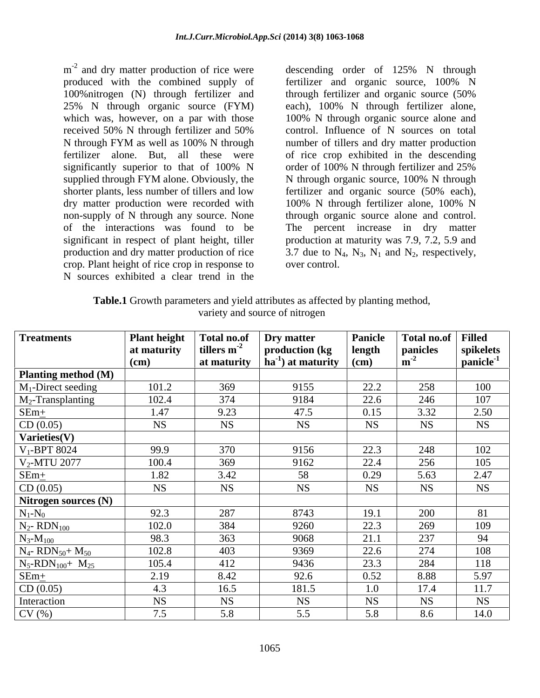$m<sup>-2</sup>$  and dry matter production of rice were 100% nitrogen (N) through fertilizer and through fertilizer and organic source (50%) crop. Plant height of rice crop in response to N sources exhibited a clear trend in the

m<sup>-2</sup> and dry matter production of rice were descending order of 125% N through produced with the combined supply of fertilizer and organic source, 100% N 25% N through organic source (FYM) each), 100% N through fertilizer alone, which was, however, on a par with those 100% N through organic source alone and received 50% N through fertilizer and 50% control. Influence of N sources on total N through FYM as well as 100% N through mumber of tillers and dry matter production fertilizer alone. But, all these were of rice crop exhibited in the descending significantly superior to that of 100% N order of 100% N through fertilizer and 25% supplied through FYM alone. Obviously, the N through organic source, 100% N through shorter plants, less number of tillers and low fertilizer and organic source (50% each), dry matter production were recorded with 100% N through fertilizer alone, 100% N non-supply of N through any source. None through organic source alone and control. of the interactions was found to be The percent increase in dry matter significant in respect of plant height, tiller production at maturity was 7.9, 7.2, 5.9 and production and dry matter production of rice  $\qquad 3.7$  due to  $N_4$ ,  $N_3$ ,  $N_1$  and  $N_2$ , respectively, through fertilizer and organic source (50% control. Influence of N sources on total number of tillers and dry matter production order of 100% N through fertilizer and 25% over control.

| Table.1 Growth parameters and yield attributes as affected by planting method, |  |
|--------------------------------------------------------------------------------|--|
| variety and source of nitrogen                                                 |  |

| <b>Treatments</b>                           | <b>Plant height</b> | Total no.of      | Dry matter                       | Panicle   | Total no.of   Filled |                                     |
|---------------------------------------------|---------------------|------------------|----------------------------------|-----------|----------------------|-------------------------------------|
|                                             | at maturity         | tillers $m^{-2}$ | $\vert$ production (kg           | length    | panicles             | spikelets<br>panicle <sup>-1</sup>  |
|                                             | (cm)                | at maturity      | $\ln a^{-1}$ at maturity $\ln a$ |           |                      |                                     |
| Planting method (M)                         |                     |                  |                                  |           |                      |                                     |
| $M_1$ -Direct seeding                       | 101.2               | 369              | 9155                             | 22.2      | 258                  | $\frac{100}{107}$ $\frac{2.50}{NS}$ |
| $M_2$ -Transplanting                        | 102.4               | 374              | 9184                             | 22.6      | 246                  |                                     |
|                                             | 1.47                | 9.23             | 47.5                             | 0.15      | 3.32                 |                                     |
| $\frac{\text{SEM}_{\pm}}{\text{CD}(0.05)}$  | <b>NS</b>           | <b>NS</b>        | <b>NS</b>                        | <b>NS</b> | <b>NS</b>            |                                     |
| Varieties(V)                                |                     |                  |                                  |           |                      |                                     |
| $V_1$ -BPT 8024                             | 99.9                | 370              | 9156                             | 22.3      | 248                  |                                     |
| $V_2$ -MTU 2077                             | 100.4               | 369              | 9162                             | 22.4      | 256                  | $\frac{102}{105}$ $\frac{2.47}{NS}$ |
| $SEm+$                                      | 1.82                | 3.42             | 58                               | 0.29      | 5.63                 |                                     |
| CD(0.05)                                    | <b>NS</b>           | <b>NS</b>        | <b>NS</b>                        | <b>NS</b> | <b>NS</b>            |                                     |
| Nitrogen sources (N)                        |                     |                  |                                  |           |                      |                                     |
| $N_1-N_0$                                   | 92.3                | 287              | 8743                             | 19.1      | 200                  |                                     |
| $N_2$ - RD $N_{100}$                        | 102.0               | 384              | 9260                             | 22.3      | 269                  | $\frac{81}{109}$                    |
| $N_3-M_{100}$                               | 98.3                | 363              | 9068                             | 21.1      | 237                  |                                     |
| $N_4$ - RDN <sub>50</sub> + M <sub>50</sub> | 102.8               | 403              | 9369                             | 22.6      | 274                  | <b>108</b>                          |
|                                             | 105.4               |                  |                                  |           | 284                  | 118                                 |
| $N_5$ -RDN <sub>100</sub> + $M_{25}$        |                     | 412              | 9436                             | 23.3      |                      |                                     |
| $SEm+$                                      | 2.19                | 8.42             | 92.6                             | 0.52      | 8.88                 | $\frac{5.97}{11.7}$<br>NS           |
| CD(0.05)                                    | 4.3                 | 16.5             | 181.5                            | 1.0       | 17.4                 |                                     |
| Interaction                                 | <b>NS</b>           | <b>NS</b>        | <b>NS</b>                        | NS        | <b>NS</b>            |                                     |
| CV(%)                                       | 7.5                 | 5.8              | 5.5                              | 5.8       | 8.6                  | 14.0                                |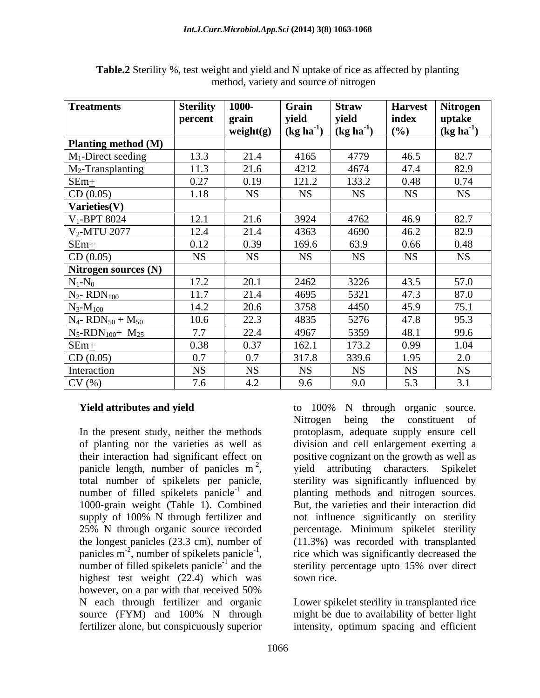| <b>Treatments</b>                             | <b>Sterility</b> | 1000         | Grain                               | <b>Straw</b>                | <b>Harvest</b> | Nitrogen       |
|-----------------------------------------------|------------------|--------------|-------------------------------------|-----------------------------|----------------|----------------|
|                                               | percent          | grain        | yield                               | yield                       | index          | uptake         |
|                                               |                  | weight $(g)$ | $\left(\text{kg ha}^{\cdot}\right)$ | $\left(\text{kg ha}\right)$ | (%)            | $(kg ha^{-1})$ |
| Planting method (M)                           |                  |              |                                     |                             |                |                |
| $M_1$ -Direct seeding                         | 13.3             | 21.4         | 4165                                | 4779                        | 46.5           | 82.7           |
| $M_2$ -Transplanting                          | 11.3             | 21.6         | 4212                                | 4674                        | 47.4           | 82.9           |
| $SEm+$                                        | 0.27             | 0.19         | 121.2                               | 133.2                       | 0.48           | 0.74           |
| CD (0.05)                                     | 1.18             | <b>NS</b>    | <b>NS</b>                           | <b>NS</b>                   | <b>NS</b>      | <b>NS</b>      |
| Varieties(V)                                  |                  |              |                                     |                             |                |                |
| $V_1$ -BPT 8024                               | 12.1             | 21.6         | 3924                                | 4762                        | 46.9           | 82.7           |
| V <sub>2</sub> -MTU 2077                      | 12.4             | 21.4         | 4363                                | 4690                        | 46.2           | 82.9           |
| $SEm+$                                        | 0.12             | 0.39         | 169.6                               | 63.9                        | 0.66           | 0.48           |
| CD(0.05)                                      | <b>NS</b>        | <b>NS</b>    | <b>NS</b>                           | <b>NS</b>                   | <b>NS</b>      | <b>NS</b>      |
| Nitrogen sources (N)                          |                  |              |                                     |                             |                |                |
| $N_1-N_0$                                     | 17.2             | 20.1         | 2462                                | 3226                        | 43.5           | 57.0           |
| $N_2$ - RD $N_{100}$                          | 11.7             | 21.4         | 4695                                | 5321                        | 47.3           | 87.0           |
| $N_3-M_{100}$                                 | 14.2             | 20.6         | 3758                                | 4450                        | 45.9           | 75.1           |
| $N_{4}$ - RDN <sub>50</sub> + M <sub>50</sub> | 10.6             | 22.3         | 4835                                | 5276                        | 47.8           | 95.3           |
| $N_5$ -RDN <sub>100</sub> + $M_{25}$          | 7.7              | 22.4         | 4967                                | 5359                        | 48.1           | 99.6           |
| $SEm+$                                        | 0.38             | 0.37         | 162.1                               | 173.2                       | 0.99           | 1.04           |
| CD(0.05)                                      | 0.7              | 0.7          | 317.8                               | 339.6                       | 1.95           | 2.0            |
| Interaction                                   | <b>NS</b>        | <b>NS</b>    | <b>NS</b>                           | <b>NS</b>                   | <b>NS</b>      | <b>NS</b>      |
| CV(%)                                         | 7.6              | 4.2          | 9.6                                 | 9.0                         | 5.3            | 3.1            |

**Table.2** Sterility %, test weight and yield and N uptake of rice as affected by planting method, variety and source of nitrogen

In the present study, neither the methods protoplasm, adequate supply ensure cell of planting nor the varieties as well as a division and cell enlargement exerting a their interaction had significant effect on positive cognizant on the growth as well as panicle length, number of panicles  $m<sup>2</sup>$ , yield attributing characters. Spikelet panicle length, number of panicles  $m^{-2}$ , yield attributing characters. Spikelet total number of spikelets per panicle, sterility was significantly influenced by number of filled spikelets panicle<sup>-1</sup> and 1000-grain weight (Table 1). Combined supply of 100% N through fertilizer and not influence significantly on sterility 25% N through organic source recorded percentage. Minimum spikelet sterility the longest panicles (23.3 cm), number of panicles  $m^{-2}$ , number of spikelets panicle<sup>-1</sup>, number of filled spikelets panicle $^{-1}$  and the highest test weight (22.4) which was sown rice. however, on a par with that received 50% N each through fertilizer and organic Lower spikelet sterility in transplanted rice source (FYM) and 100% N through might be due to availability of better light fertilizer alone, but conspicuously superior intensity, optimum spacing and efficient

**Yield attributes and yield to 100%** N through organic source. <sup>-2</sup> yield ettributing characters Spikelet <sup>-1</sup> and planting methods and nitrogen sources. , number of spikelets panicle<sup>-1</sup>, rice which was significantly decreased the <sup>-1</sup> and the sterility percentage upto 15% over direct Nitrogen being the constituent of yield attributing characters. Spikelet sterility was significantly influenced by But, the varieties and their interaction did (11.3%) was recorded with transplanted sown rice.

might be due to availability of better light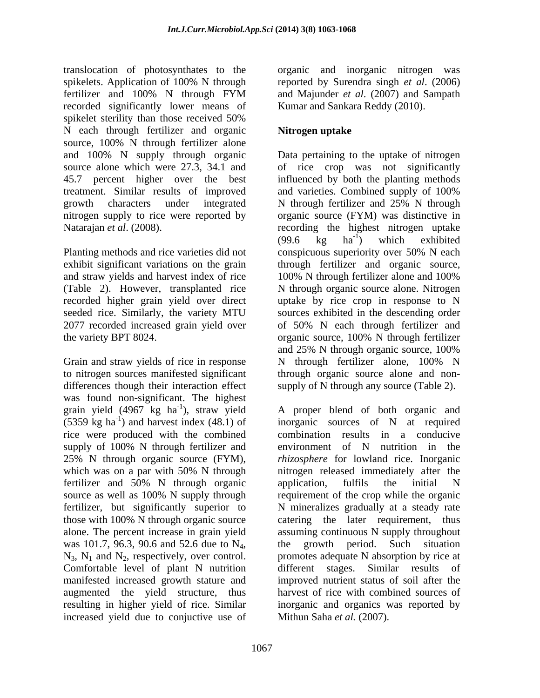translocation of photosynthates to the organic and inorganic nitrogen was spikelets. Application of 100% N through reported by Surendra singh *et al*. (2006) fertilizer and 100% N through FYM and Majunder *et al.* (2007) and Sampath recorded significantly lower means of spikelet sterility than those received 50% N each through fertilizer and organic Nitrogen uptake source, 100% N through fertilizer alone treatment. Similar results of improved and varieties. Combined supply of 100% growth characters under integrated N through fertilizer and 25% N through

Planting methods and rice varieties did not conspicuous superiority over 50% N each and straw yields and harvest index of rice 100% N through fertilizer alone and 100%

Grain and straw yields of rice in response N through fertilizer alone, 100% N to nitrogen sources manifested significant through organic source alone and non differences though their interaction effect was found non-significant. The highest<br>grain yield (4967 kg ha<sup>-1</sup>), straw yield grain yield (4967 kg ha<sup>-1</sup>), straw yield A proper blend of both organic and rice were produced with the combined 25% N through organic source (FYM), fertilizer and 50% N through organic application, fulfils the initial N Comfortable level of plant N nutrition different stages. Similar results of resulting in higher yield of rice. Similar increased yield due to conjuctive use of

and Majunder *et al*. (2007) and Sampath Kumar and Sankara Reddy (2010).

# **Nitrogen uptake**

and 100% N supply through organic Data pertaining to the uptake of nitrogen source alone which were 27.3, 34.1 and of rice crop was not significantly 45.7 percent higher over the best influenced by both the planting methods nitrogen supply to rice were reported by organic source (FYM) was distinctive in Natarajan *et al.* (2008). The recording the highest nitrogen uptake exhibit significant variations on the grain through fertilizer and organic source, (Table 2). However, transplanted rice N through organic source alone. Nitrogen recorded higher grain yield over direct uptake by rice crop in response to N seeded rice. Similarly, the variety MTU sources exhibited in the descending order 2077 recorded increased grain yield over of 50% N each through fertilizer and the variety BPT 8024. organic source, 100% N through fertilizer and varieties. Combined supply of 100% N through fertilizer and 25% N through  $(99.6 \text{ kg} \text{ ha}^{-1})$  which exhibited  $-\overline{1}$  which exhibited ) which exhibited conspicuous superiority over 50% N each 100% N through fertilizer alone and 100% and 25% N through organic source, 100% N through fertilizer alone, 100% N supply of N through any source (Table 2).

 $(5359 \text{ kg ha}^{-1})$  and harvest index (48.1) of inorganic sources of N at required supply of 100% N through fertilizer and environment of N nutrition in the which was on a par with 50% N through introgen released immediately after the source as well as 100% N supply through requirement of the crop while the organic fertilizer, but significantly superior to N mineralizes gradually at a steady rate those with 100% N through organic source catering the later requirement, thus alone. The percent increase in grain yield assuming continuous N supply throughout was 101.7, 96.3, 90.6 and 52.6 due to  $N_4$ , the growth period. Such situation  $N_3$ ,  $N_1$  and  $N_2$ , respectively, over control. promotes adequate N absorption by rice at manifested increased growth stature and improved nutrient status of soil after the augmented the yield structure, thus harvest of rice with combined sources of combination results in a conducive environment of N nutrition in the *rhizosphere* for lowland rice. Inorganic nitrogen released immediately after the application, fulfils the initial N requirement of the crop while the organic the growth period. Such situation promotes adequate N absorption by rice at different stages. Similar results inorganic and organics was reported by Mithun Saha *et al.* (2007).